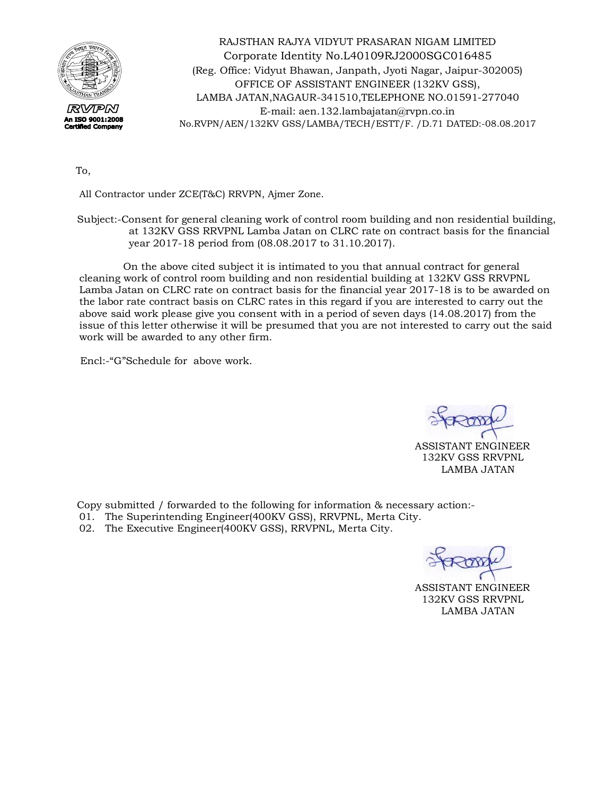

RAJSTHAN RAJYA VIDYUT PRASARAN NIGAM LIMITED Corporate Identity No.L40109RJ2000SGC016485 (Reg. Office: Vidyut Bhawan, Janpath, Jyoti Nagar, Jaipur-302005) OFFICE OF ASSISTANT ENGINEER (132KV GSS), LAMBA JATAN,NAGAUR-341510,TELEPHONE NO.01591-277040 E-mail: [aen.132.lambajatan@rvpn.co.in](mailto:aen.132.lambajatan@rvpn.co.in) No.RVPN/AEN/132KV GSS/LAMBA/TECH/ESTT/F. /D.71 DATED:-08.08.2017

To,

All Contractor under ZCE(T&C) RRVPN, Ajmer Zone.

 Subject:-Consent for general cleaning work of control room building and non residential building, at 132KV GSS RRVPNL Lamba Jatan on CLRC rate on contract basis for the financial year 2017-18 period from (08.08.2017 to 31.10.2017).

 On the above cited subject it is intimated to you that annual contract for general cleaning work of control room building and non residential building at 132KV GSS RRVPNL Lamba Jatan on CLRC rate on contract basis for the financial year 2017-18 is to be awarded on the labor rate contract basis on CLRC rates in this regard if you are interested to carry out the above said work please give you consent with in a period of seven days (14.08.2017) from the issue of this letter otherwise it will be presumed that you are not interested to carry out the said work will be awarded to any other firm.

Encl:-"G"Schedule for above work.

 ASSISTANT ENGINEER 132KV GSS RRVPNL LAMBA JATAN

Copy submitted / forwarded to the following for information & necessary action:-

- 01. The Superintending Engineer(400KV GSS), RRVPNL, Merta City.
- 02. The Executive Engineer(400KV GSS), RRVPNL, Merta City.

 ASSISTANT ENGINEER 132KV GSS RRVPNL LAMBA JATAN